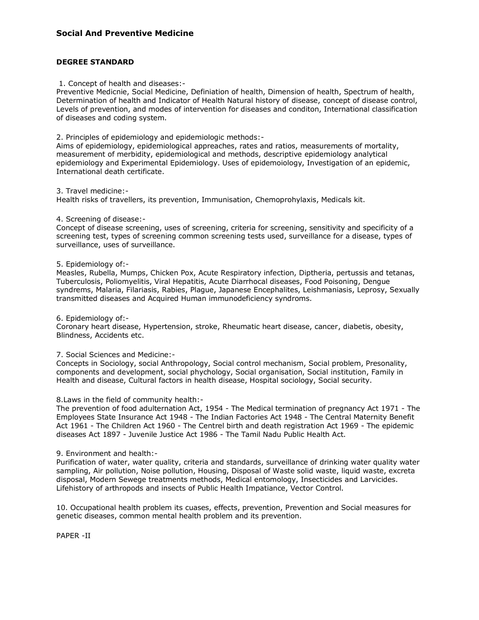# **Social And Preventive Medicine**

## **DEGREE STANDARD**

#### 1. Concept of health and diseases:-

Preventive Medicnie, Social Medicine, Definiation of health, Dimension of health, Spectrum of health, Determination of health and Indicator of Health Natural history of disease, concept of disease control, Levels of prevention, and modes of intervention for diseases and conditon, International classification of diseases and coding system.

2. Principles of epidemiology and epidemiologic methods:-

Aims of epidemiology, epidemiological appreaches, rates and ratios, measurements of mortality, measurement of merbidity, epidemiological and methods, descriptive epidemiology analytical epidemiology and Experimental Epidemiology. Uses of epidemoiology, Investigation of an epidemic, International death certificate.

#### 3. Travel medicine:-

Health risks of travellers, its prevention, Immunisation, Chemoprohylaxis, Medicals kit.

## 4. Screening of disease:-

Concept of disease screening, uses of screening, criteria for screening, sensitivity and specificity of a screening test, types of screening common screening tests used, surveillance for a disease, types of surveillance, uses of surveillance.

## 5. Epidemiology of:-

Measles, Rubella, Mumps, Chicken Pox, Acute Respiratory infection, Diptheria, pertussis and tetanas, Tuberculosis, Poliomyelitis, Viral Hepatitis, Acute Diarrhocal diseases, Food Poisoning, Dengue syndrems, Malaria, Filariasis, Rabies, Plague, Japanese Encephalites, Leishmaniasis, Leprosy, Sexually transmitted diseases and Acquired Human immunodeficiency syndroms.

6. Epidemiology of:-

Coronary heart disease, Hypertension, stroke, Rheumatic heart disease, cancer, diabetis, obesity, Blindness, Accidents etc.

#### 7. Social Sciences and Medicine:-

Concepts in Sociology, social Anthropology, Social control mechanism, Social problem, Presonality, components and development, social phychology, Social organisation, Social institution, Family in Health and disease, Cultural factors in health disease, Hospital sociology, Social security.

#### 8.Laws in the field of community health:-

The prevention of food adulternation Act, 1954 - The Medical termination of pregnancy Act 1971 - The Employees State Insurance Act 1948 - The Indian Factories Act 1948 - The Central Maternity Benefit Act 1961 - The Children Act 1960 - The Centrel birth and death registration Act 1969 - The epidemic diseases Act 1897 - Juvenile Justice Act 1986 - The Tamil Nadu Public Health Act.

#### 9. Environment and health:-

Purification of water, water quality, criteria and standards, surveillance of drinking water quality water sampling, Air pollution, Noise pollution, Housing, Disposal of Waste solid waste, liquid waste, excreta disposal, Modern Sewege treatments methods, Medical entomology, Insecticides and Larvicides. Lifehistory of arthropods and insects of Public Health Impatiance, Vector Control.

10. Occupational health problem its cuases, effects, prevention, Prevention and Social measures for genetic diseases, common mental health problem and its prevention.

PAPER -II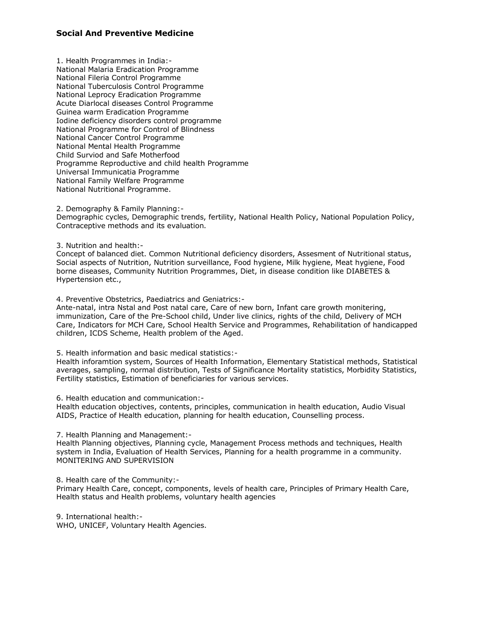# **Social And Preventive Medicine**

1. Health Programmes in India:- National Malaria Eradication Programme National Fileria Control Programme National Tuberculosis Control Programme National Leprocy Eradication Programme Acute Diarlocal diseases Control Programme Guinea warm Eradication Programme Iodine deficiency disorders control programme National Programme for Control of Blindness National Cancer Control Programme National Mental Health Programme Child Surviod and Safe Motherfood Programme Reproductive and child health Programme Universal Immunicatia Programme National Family Welfare Programme National Nutritional Programme.

2. Demography & Family Planning:-

Demographic cycles, Demographic trends, fertility, National Health Policy, National Population Policy, Contraceptive methods and its evaluation.

3. Nutrition and health:-

Concept of balanced diet. Common Nutritional deficiency disorders, Assesment of Nutritional status, Social aspects of Nutrition, Nutrition surveillance, Food hygiene, Milk hygiene, Meat hygiene, Food borne diseases, Community Nutrition Programmes, Diet, in disease condition like DIABETES & Hypertension etc.,

4. Preventive Obstetrics, Paediatrics and Geniatrics:-

Ante-natal, intra Nstal and Post natal care, Care of new born, Infant care growth monitering, immunization, Care of the Pre-School child, Under live clinics, rights of the child, Delivery of MCH Care, Indicators for MCH Care, School Health Service and Programmes, Rehabilitation of handicapped children, ICDS Scheme, Health problem of the Aged.

5. Health information and basic medical statistics:-

Health inforamtion system, Sources of Health Information, Elementary Statistical methods, Statistical averages, sampling, normal distribution, Tests of Significance Mortality statistics, Morbidity Statistics, Fertility statistics, Estimation of beneficiaries for various services.

6. Health education and communication:-

Health education objectives, contents, principles, communication in health education, Audio Visual AIDS, Practice of Health education, planning for health education, Counselling process.

7. Health Planning and Management:-

Health Planning objectives, Planning cycle, Management Process methods and techniques, Health system in India, Evaluation of Health Services, Planning for a health programme in a community. MONITERING AND SUPERVISION

8. Health care of the Community:-

Primary Health Care, concept, components, levels of health care, Principles of Primary Health Care, Health status and Health problems, voluntary health agencies

9. International health:- WHO, UNICEF, Voluntary Health Agencies.